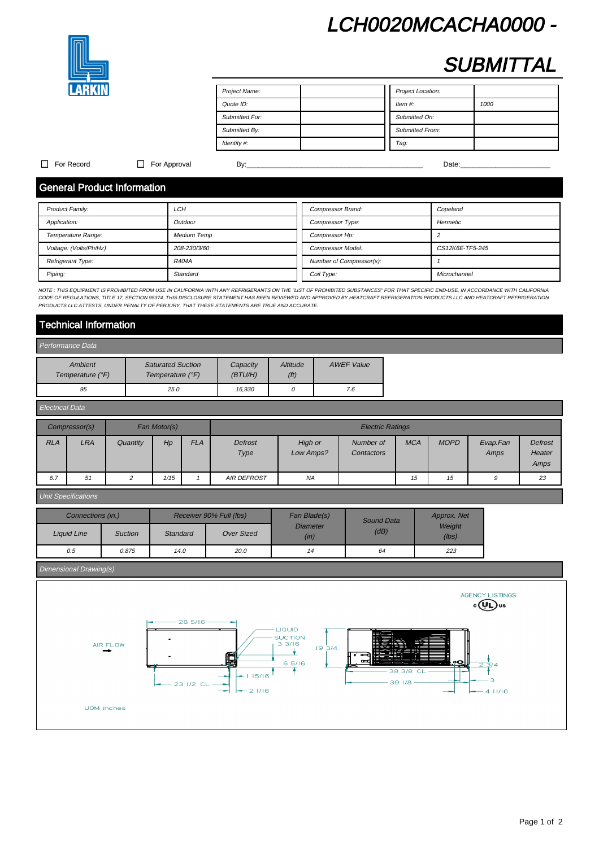# LCH0020MCACHA0000 -



# **SUBMITTAL**

| Project Name:         | Project Location:      |
|-----------------------|------------------------|
| Quote ID:             | Item $#$ :<br>1000     |
| <b>Submitted For:</b> | Submitted On:          |
| Submitted By:         | <b>Submitted From:</b> |
| Identity #:           | Tag:                   |

### For Record For Approval By:\_\_\_\_\_\_\_\_\_\_\_\_\_\_\_\_\_\_\_\_\_\_\_\_\_\_\_\_\_\_\_\_\_\_\_\_\_\_\_\_\_\_\_\_\_ Date:\_\_\_\_\_\_\_\_\_\_\_\_\_\_\_\_\_\_\_\_\_\_\_

# General Product Information

| <b>Product Family:</b> | LCH                | <b>Compressor Brand:</b> | Copeland        |
|------------------------|--------------------|--------------------------|-----------------|
| Application:           | Outdoor            | Compressor Type:         | Hermetic        |
| Temperature Range:     | <b>Medium Temp</b> | Compressor Hp:           |                 |
| Voltage: (Volts/Ph/Hz) | 208-230/3/60       | <b>Compressor Model:</b> | CS12K6E-TF5-245 |
| Refrigerant Type:      | R404A              | Number of Compressor(s): |                 |
| Piping:                | Standard           | Coil Type:               | Microchannel    |

NOTE : THIS EQUIPMENT IS PROHIBITED FROM USE IN CALIFORNIA WITH ANY REFRIGERANTS ON THE "LIST OF PROHIBITED SUBSTANCES" FOR THAT SPECIFIC END-USE, IN ACCORDANCE WITH CALIFORNIA CODE OF REGULATIONS, TITLE 17, SECTION 95374. THIS DISCLOSURE STATEMENT HAS BEEN REVIEWED AND APPROVED BY HEATCRAFT REFRIGERATION PRODUCTS LLC AND HEATCRAFT REFRIGERATION PRODUCTS AND HEATCRAFT REFRIGERATION PRODUCTS LLC A PRODUCTS LLC ATTESTS, UNDER PENALTY OF PERJURY, THAT THESE STATEMENTS ARE TRUE AND ACCURATE.

# Technical Information

| Performance Data            |                                              |                      |                  |                   |  |  |  |
|-----------------------------|----------------------------------------------|----------------------|------------------|-------------------|--|--|--|
| Ambient<br>Temperature (°F) | <b>Saturated Suction</b><br>Temperature (°F) | Capacity<br>(BT U/H) | Altitude<br>(ft) | <b>AWEF Value</b> |  |  |  |
| 95                          | 25.0                                         | 16.930               |                  | 7.6               |  |  |  |

| <b>Electrical Data</b>                                   |            |          |      |            |                    |                      |                         |            |             |                  |                           |
|----------------------------------------------------------|------------|----------|------|------------|--------------------|----------------------|-------------------------|------------|-------------|------------------|---------------------------|
| Fan Motor(s)<br>Compressor(s)<br><b>Electric Ratings</b> |            |          |      |            |                    |                      |                         |            |             |                  |                           |
| <b>RLA</b>                                               | <b>LRA</b> | Quantity | Hp   | <b>FLA</b> | Defrost<br>Type    | High or<br>Low Amps? | Number of<br>Contactors | <b>MCA</b> | <b>MOPD</b> | Evap.Fan<br>Amps | Defrost<br>Heater<br>Amps |
| 6.7                                                      | 51         |          | 1/15 |            | <b>AIR DEFROST</b> | <b>NA</b>            |                         | 15         | 15          | 9                | 23                        |

### Unit Specifications

|             | Connections (in.) |                 | Receiver 90% Full (lbs) | Fan Blade(s)            | Sound Data | Approx. Net     |  |
|-------------|-------------------|-----------------|-------------------------|-------------------------|------------|-----------------|--|
| Liquid Line | <b>Suction</b>    | <b>Standard</b> | <b>Over Sized</b>       | <b>Diameter</b><br>(in) | (dB)       | Weight<br>(lbs) |  |
| 0.5         | 0.875             | 14.0            | 20.0                    | 14                      | 64         | 223             |  |

### Dimensional Drawing(s)